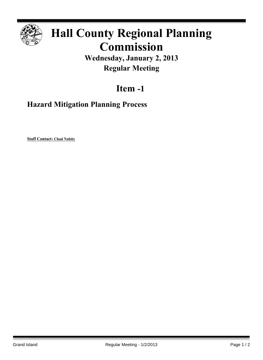

# **Hall County Regional Planning Commission**

**Wednesday, January 2, 2013 Regular Meeting**

## **Item -1**

### **Hazard Mitigation Planning Process**

**Staff Contact: Chad Nabity**